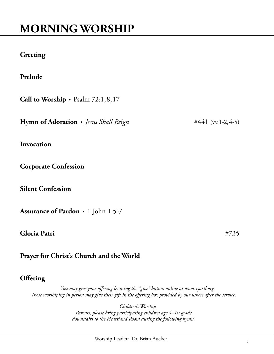## **MORNING WORSHIP**

## **Greeting**

**Prelude** • *Title* composer

**Call to Worship** • Psalm 72:1,8,17

**Hymn of Adoration** • *Jesus Shall Reign* #441 (vv.1-2,4-5)

**Invocation**

**Corporate Confession**

**Silent Confession**

**Assurance of Pardon** • 1 John 1:5-7

**Gloria Patri** #735

**Prayer for Christ's Church and the World**

## **Offering**

*You may give your offering by using the "give" button online at [www.cpcstl.org.](http://www.cpcstl.org) Those worshiping in person may give their gift in the offering box provided by our ushers after the service.*

*Children's Worship*

*Parents, please bring participating children age 4–1st grade downstairs to the Heartland Room during the following hymn.*